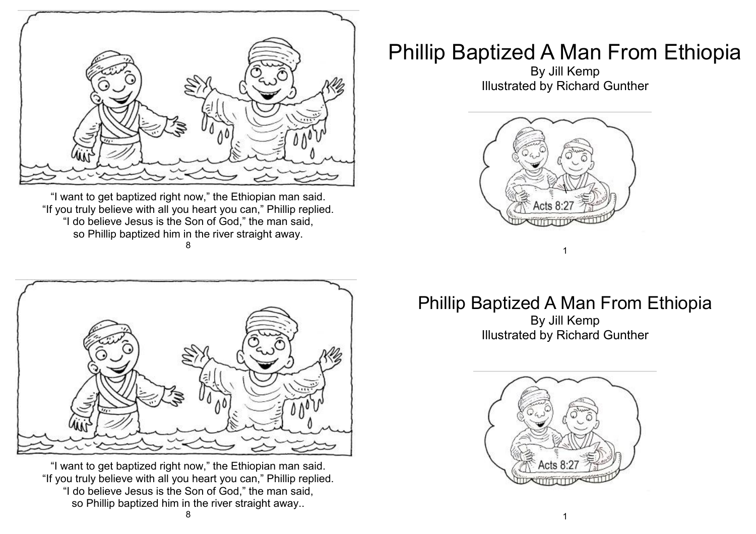

"I want to get baptized right now," the Ethiopian man said. "If you truly believe with all you heart you can," Phillip replied. "I do believe Jesus is the Son of God," the man said, so Phillip baptized him in the river straight away. 8



"I want to get baptized right now," the Ethiopian man said. "If you truly believe with all you heart you can," Phillip replied. "I do believe Jesus is the Son of God," the man said, so Phillip baptized him in the river straight away..

## Phillip Baptized A Man From Ethiopia

By Jill Kemp Illustrated by Richard Gunther



## Phillip Baptized A Man From Ethiopia

1

By Jill Kemp Illustrated by Richard Gunther

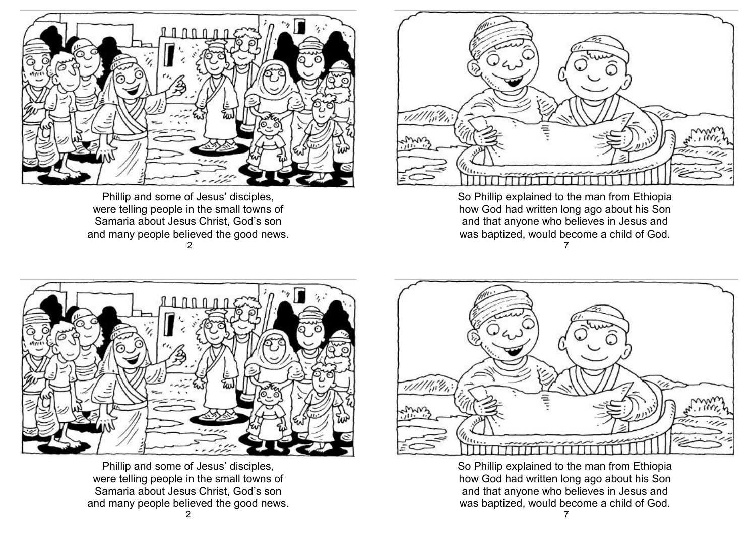

Phillip and some of Jesus' disciples, were telling people in the small towns of Samaria about Jesus Christ, God's son and many people believed the good news. 2



So Phillip explained to the man from Ethiopia how God had written long ago about his Son and that anyone who believes in Jesus and was baptized, would become a child of God. 7



Phillip and some of Jesus' disciples, were telling people in the small towns of Samaria about Jesus Christ, God's son and many people believed the good news.



So Phillip explained to the man from Ethiopia how God had written long ago about his Son and that anyone who believes in Jesus and was baptized, would become a child of God.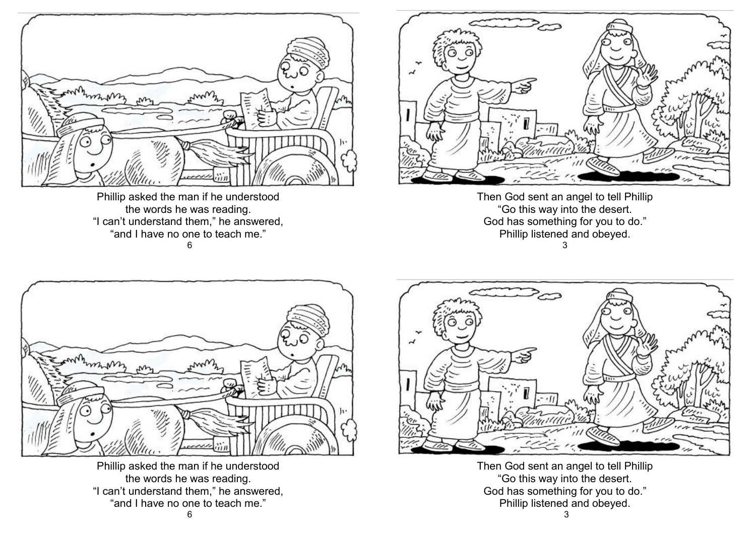

Phillip asked the man if he understood the words he was reading. "I can't understand them," he answered, "and I have no one to teach me." 6



Then God sent an angel to tell Phillip "Go this way into the desert. God has something for you to do." Phillip listened and obeyed. 3



Phillip asked the man if he understood the words he was reading. "I can't understand them," he answered, "and I have no one to teach me."



Then God sent an angel to tell Phillip "Go this way into the desert. God has something for you to do." Phillip listened and obeyed.